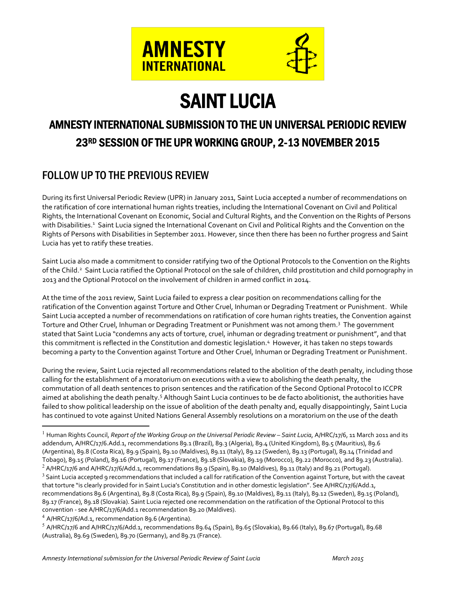

# **SAINT LUCIA**<br>AMNESTY INTERNATIONAL SUBMISSION TO THE UN UNIVERSAL PERIODIC REVIEW 23RD SESSION OF THE UPR WORKING GROUP, 2-13 NOVEMBER 2015

# FOLLOW UP TO THE PREVIOUS REVIEW

During its first Universal Periodic Review (UPR) in January 2011, Saint Lucia accepted a number of recommendations on the ratification of core international human rights treaties, including the International Covenant on Civil and Political Rights, the International Covenant on Economic, Social and Cultural Rights, and the Convention on the Rights of Persons with Disabilities.<sup>1</sup> Saint Lucia signed the International Covenant on Civil and Political Rights and the Convention on the Rights of Persons with Disabilities in September 2011. However, since then there has been no further progress and Saint Lucia has yet to ratify these treaties.

Saint Lucia also made a commitment to consider ratifying two of the Optional Protocols to the Convention on the Rights of the Child. <sup>2</sup> Saint Lucia ratified the Optional Protocol on the sale of children, child prostitution and child pornography in 2013 and the Optional Protocol on the involvement of children in armed conflict in 2014.

At the time of the 2011 review, Saint Lucia failed to express a clear position on recommendations calling for the ratification of the Convention against Torture and Other Cruel, Inhuman or Degrading Treatment or Punishment. While Saint Lucia accepted a number of recommendations on ratification of core human rights treaties, the Convention against Torture and Other Cruel, Inhuman or Degrading Treatment or Punishment was not among them. <sup>3</sup> The government stated that Saint Lucia "condemns any acts of torture, cruel, inhuman or degrading treatment or punishment", and that this commitment is reflected in the Constitution and domestic legislation. <sup>4</sup> However, it has taken no steps towards becoming a party to the Convention against Torture and Other Cruel, Inhuman or Degrading Treatment or Punishment.

During the review, Saint Lucia rejected all recommendations related to the abolition of the death penalty, including those calling for the establishment of a moratorium on executions with a view to abolishing the death penalty, the commutation of all death sentences to prison sentences and the ratification of the Second Optional Protocol to ICCPR aimed at abolishing the death penalty.<sup>5</sup> Although Saint Lucia continues to be de facto abolitionist, the authorities have failed to show political leadership on the issue of abolition of the death penalty and, equally disappointingly, Saint Lucia has continued to vote against United Nations General Assembly resolutions on a moratorium on the use of the death

 <sup>1</sup> Human Rights Council, *Report of the Working Group on the Universal Periodic Review – Saint Lucia*, A/HRC/17/6, 11 March 2011 and its addendum, A/HRC/17/6.Add.1, recommendations 89.1 (Brazil), 89.3 (Algeria), 89.4 (United Kingdom), 89.5 (Mauritius), 89.6 (Argentina), 89.8 (Costa Rica), 89.9 (Spain), 89.10 (Maldives), 89.11 (Italy), 89.12 (Sweden), 89.13 (Portugal), 89.14 (Trinidad and Tobago), 89.15 (Poland), 89.16 (Portugal), 89.17 (France), 89.18 (Slovakia), 89.19 (Morocco), 89.22 (Morocco), and 89.23 (Australia).

<sup>&</sup>lt;sup>2</sup> A/HRC/17/6 and A/HRC/17/6/Add.1, recommendations 89.9 (Spain), 89.10 (Maldives), 89.11 (Italy) and 89.21 (Portugal).  $3$  Saint Lucia accepted 9 recommendations that included a call for ratification of the Convention against Torture, but with the caveat that torture "is clearly provided for in Saint Lucia's Constitution and in other domestic legislation". See A/HRC/17/6/Add.1, recommendations 89.6 (Argentina), 89.8 (Costa Rica), 89.9 (Spain), 89.10 (Maldives), 89.11 (Italy), 89.12 (Sweden), 89.15 (Poland), 89.17 (France), 89.18 (Slovakia). Saint Lucia rejected one recommendation on the ratification of the Optional Protocol to this convention - see A/HRC/17/6/Add.1 recommendation 89.20 (Maldives).

 $4$  A/HRC/17/6/Ad.1, recommendation 89.6 (Argentina).

 $5$  A/HRC/17/6 and A/HRC/17/6/Add.1, recommendations 89.64 (Spain), 89.65 (Slovakia), 89.66 (Italy), 89.67 (Portugal), 89.68 (Australia), 89.69 (Sweden), 89.70 (Germany), and 89.71 (France).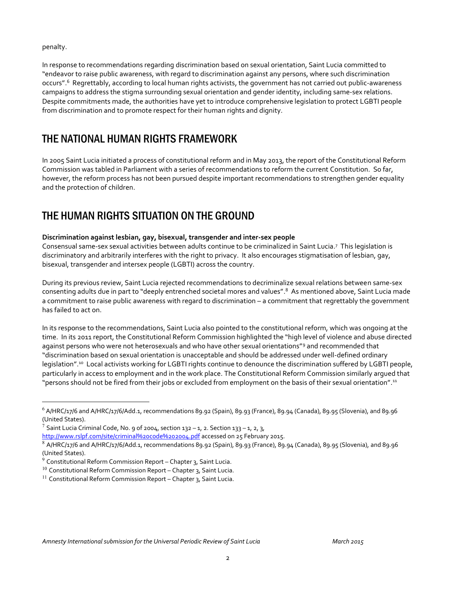penalty.

In response to recommendations regarding discrimination based on sexual orientation, Saint Lucia committed to "endeavor to raise public awareness, with regard to discrimination against any persons, where such discrimination occurs". <sup>6</sup> Regrettably, according to local human rights activists, the government has not carried out public-awareness campaigns to address the stigma surrounding sexual orientation and gender identity, including same-sex relations. Despite commitments made, the authorities have yet to introduce comprehensive legislation to protect LGBTI people from discrimination and to promote respect for their human rights and dignity.

# THE NATIONAL HUMAN RIGHTS FRAMEWORK

In 2005 Saint Lucia initiated a process of constitutional reform and in May 2013, the report of the Constitutional Reform Commission was tabled in Parliament with a series of recommendations to reform the current Constitution. So far, however, the reform process has not been pursued despite important recommendations to strengthen gender equality and the protection of children.

# THE HUMAN RIGHTS SITUATION ON THE GROUND

### **Discrimination against lesbian, gay, bisexual, transgender and inter-sex people**

Consensual same-sex sexual activities between adults continue to be criminalized in Saint Lucia.7 This legislation is discriminatory and arbitrarily interferes with the right to privacy. It also encourages stigmatisation of lesbian, gay, bisexual, transgender and intersex people (LGBTI) across the country.

During its previous review, Saint Lucia rejected recommendations to decriminalize sexual relations between same-sex consenting adults due in part to "deeply entrenched societal mores and values". <sup>8</sup> As mentioned above, Saint Lucia made a commitment to raise public awareness with regard to discrimination – a commitment that regrettably the government has failed to act on.

In its response to the recommendations, Saint Lucia also pointed to the constitutional reform, which was ongoing at the time. In its 2011 report, the Constitutional Reform Commission highlighted the "high level of violence and abuse directed against persons who were not heterosexuals and who have other sexual orientations"<sup>9</sup> and recommended that "discrimination based on sexual orientation is unacceptable and should be addressed under well-defined ordinary legislation". <sup>10</sup> Local activists working for LGBTI rights continue to denounce the discrimination suffered by LGBTI people, particularly in access to employment and in the work place. The Constitutional Reform Commission similarly argued that "persons should not be fired from their jobs or excluded from employment on the basis of their sexual orientation". 11

 $6$  A/HRC/17/6 and A/HRC/17/6/Add.1, recommendations 89.92 (Spain), 89.93 (France), 89.94 (Canada), 89.95 (Slovenia), and 89.96 (United States).

<sup>&</sup>lt;sup>7</sup> Saint Lucia Criminal Code, No. 9 of 2004, section 132 – 1, 2. Section 133 – 1, 2, 3,

http://www.rslpf.com/site/criminal%20code%202004.pdf accessed on 25 February 2015.

 $^8$  A/HRC/17/6 and A/HRC/17/6/Add.1, recommendations 89.92 (Spain), 89.93 (France), 89.94 (Canada), 89.95 (Slovenia), and 89.96 (United States).

 $9$  Constitutional Reform Commission Report – Chapter 3, Saint Lucia.

 $10$  Constitutional Reform Commission Report – Chapter 3, Saint Lucia.

 $11$  Constitutional Reform Commission Report – Chapter 3, Saint Lucia.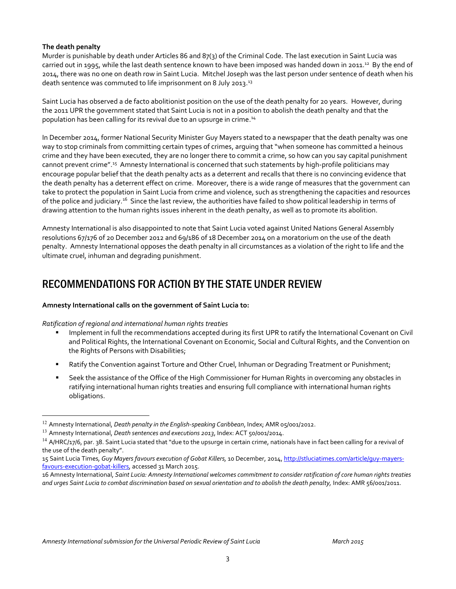#### **The death penalty**

Murder is punishable by death under Articles 86 and 87(3) of the Criminal Code. The last execution in Saint Lucia was carried out in 1995, while the last death sentence known to have been imposed was handed down in 2011.<sup>12</sup> By the end of 2014, there was no one on death row in Saint Lucia. Mitchel Joseph was the last person under sentence of death when his death sentence was commuted to life imprisonment on 8 July 2013.<sup>13</sup>

Saint Lucia has observed a de facto abolitionist position on the use of the death penalty for 20 years. However, during the 2011 UPR the government stated that Saint Lucia is not in a position to abolish the death penalty and that the population has been calling for its revival due to an upsurge in crime. 14

In December 2014, former National Security Minister Guy Mayers stated to a newspaper that the death penalty was one way to stop criminals from committing certain types of crimes, arguing that "when someone has committed a heinous crime and they have been executed, they are no longer there to commit a crime, so how can you say capital punishment cannot prevent crime".<sup>15</sup> Amnesty International is concerned that such statements by high-profile politicians may encourage popular belief that the death penalty acts as a deterrent and recalls that there is no convincing evidence that the death penalty has a deterrent effect on crime. Moreover, there is a wide range of measures that the government can take to protect the population in Saint Lucia from crime and violence, such as strengthening the capacities and resources of the police and judiciary.<sup>16</sup> Since the last review, the authorities have failed to show political leadership in terms of drawing attention to the human rights issues inherent in the death penalty, as well as to promote its abolition.

Amnesty International is also disappointed to note that Saint Lucia voted against United Nations General Assembly resolutions 67/176 of 20 December 2012 and 69/186 of 18 December 2014 on a moratorium on the use of the death penalty. Amnesty International opposes the death penalty in all circumstances as a violation of the right to life and the ultimate cruel, inhuman and degrading punishment.

## RECOMMENDATIONS FOR ACTION BY THE STATE UNDER REVIEW

#### **Amnesty International calls on the government of Saint Lucia to:**

#### *Ratification of regional and international human rights treaties*

- Implement in full the recommendations accepted during its first UPR to ratify the International Covenant on Civil and Political Rights, the International Covenant on Economic, Social and Cultural Rights, and the Convention on the Rights of Persons with Disabilities;
- **Ratify the Convention against Torture and Other Cruel, Inhuman or Degrading Treatment or Punishment;**
- Seek the assistance of the Office of the High Commissioner for Human Rights in overcoming any obstacles in ratifying international human rights treaties and ensuring full compliance with international human rights obligations.

 <sup>12</sup> Amnesty International, *Death penalty in the English-speaking Caribbean*, Index; AMR 05/001/2012.

<sup>13</sup> Amnesty International, *Death sentences and executions 2013*, Index: ACT 50/001/2014.

 $14$  A/HRC/17/6, par. 38. Saint Lucia stated that "due to the upsurge in certain crime, nationals have in fact been calling for a revival of the use of the death penalty".

<sup>15</sup> Saint Lucia Times*, Guy Mayers favours execution of Gobat Killers,* 10 December, 2014, http://stluciatimes.com/article/guy-mayersfavours-execution-gobat-killers, accessed 31 March 2015.

<sup>16</sup> Amnesty International, *Saint Lucia: Amnesty International welcomes commitment to consider ratification of core human rights treaties and urges Saint Lucia to combat discrimination based on sexual orientation and to abolish the death penalty,* Index: AMR 56/001/2011.